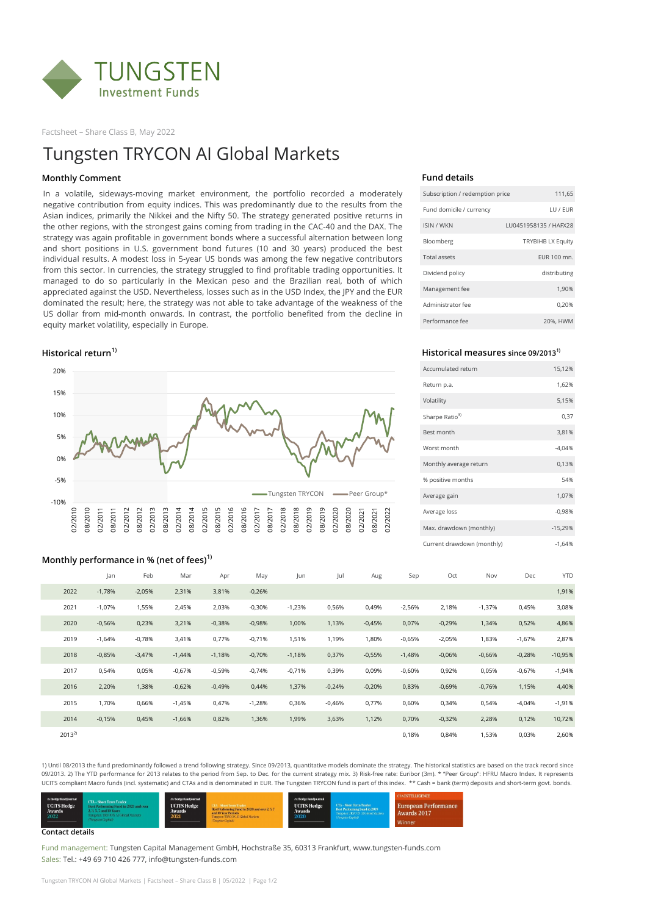

Factsheet – Share Class B, May 2022

### **Fund details**

| Subscription / redemption price | 111,65                   |  |  |  |  |
|---------------------------------|--------------------------|--|--|--|--|
| Fund domicile / currency        | LU / EUR                 |  |  |  |  |
| <b>ISIN / WKN</b>               | LU0451958135 / HAFX28    |  |  |  |  |
| Bloomberg                       | <b>TRYBIHB LX Equity</b> |  |  |  |  |
| <b>Total assets</b>             | EUR 100 mn.              |  |  |  |  |
| Dividend policy                 | distributing             |  |  |  |  |
| Management fee                  | 1,90%                    |  |  |  |  |
| Administrator fee               | 0,20%                    |  |  |  |  |
| Performance fee                 | 20%, HWM                 |  |  |  |  |

### **Historical return1) Historical measures since 09/20131)**

| Accumulated return         | 15,12%    |
|----------------------------|-----------|
| Return p.a.                | 1,62%     |
| Volatility                 | 5,15%     |
| Sharpe Ratio <sup>3)</sup> | 0,37      |
| Best month                 | 3,81%     |
| Worst month                | $-4,04%$  |
| Monthly average return     | 0,13%     |
| % positive months          | 54%       |
| Average gain               | 1,07%     |
| Average loss               | $-0.98%$  |
| Max. drawdown (monthly)    | $-15,29%$ |
| Current drawdown (monthly) | $-1,64%$  |

## **Monthly performance in % (net of fees)1)** Jan Feb Mar Apr May Jun Jul Aug Sep Oct Nov Dec YTD 2022 -1,78% -2,05% 2,31% 3,81% -0,26% 1,91% 2021 -1,07% 1,55% 2,45% 2,03% -0,30% -1,23% 0,56% 0,49% -2,56% 2,18% -1,37% 0,45% 3,08% 2020 -0,56% 0,23% 3,21% -0,38% -0,98% 1,00% 1,13% -0,45% 0,07% -0,29% 1,34% 0,52% 4,86% 2019 -1,64% -0,78% 3,41% 0,77% -0,71% 1,51% 1,19% 1,80% -0,65% -2,05% 1,83% -1,67% 2,87%

1) Until 08/2013 the fund predominantly followed a trend following strategy. Since 09/2013, quantitative models dominate the strategy. The historical statistics are based on the track record since 09/2013. 2) The YTD performance for 2013 relates to the period from Sep. to Dec. for the current strategy mix. 3) Risk-free rate: Euribor (3m). \* "Peer Group": HFRU Macro Index. It represents UCITS compliant Macro funds (incl. systematic) and CTAs and is denominated in EUR. The Tungsten TRYCON fund is part of this index. \*\* Cash = bank (term) deposits and short-term govt. bonds.



| 2018       | $-0,85%$ | $-3,47%$ | $-1,44%$ | $-1,18%$ | $-0,70%$ | $-1,18%$ | 0,37%    | $-0,55%$ | $-1,48%$ | $-0,06%$ | $-0,66%$ | $-0,28%$ | $-10,95%$ |
|------------|----------|----------|----------|----------|----------|----------|----------|----------|----------|----------|----------|----------|-----------|
| 2017       | 0,54%    | 0,05%    | $-0.67%$ | $-0,59%$ | $-0.74%$ | $-0.71%$ | 0,39%    | 0,09%    | $-0,60%$ | 0,92%    | 0,05%    | $-0.67%$ | $-1,94%$  |
| 2016       | 2,20%    | 1,38%    | $-0,62%$ | $-0,49%$ | 0,44%    | 1,37%    | $-0,24%$ | $-0,20%$ | 0,83%    | $-0,69%$ | $-0,76%$ | 1,15%    | 4,40%     |
| 2015       | 70%،     | 0,66%    | $-1,45%$ | 0,47%    | $-1,28%$ | 0,36%    | $-0.46%$ | 0,77%    | 0,60%    | 0,34%    | 0,54%    | $-4,04%$ | $-1,91%$  |
| 2014       | $-0.15%$ | 0,45%    | $-1,66%$ | 0,82%    | 1,36%    | 1,99%    | 3,63%    | 1,12%    | 0,70%    | $-0,32%$ | 2,28%    | 0,12%    | 10,72%    |
| $2013^{2}$ |          |          |          |          |          |          |          |          | 0,18%    | 0,84%    | 1,53%    | 0,03%    | 2,60%     |

#### **Contact details**

Fund management: Tungsten Capital Management GmbH, Hochstraße 35, 60313 Frankfurt, www.tungsten-funds.com Sales: Tel.: +49 69 710 426 777, info@tungsten-funds.com

Tungsten TRYCON AI Global Markets | Factsheet – Share Class B | 05/2022 | Page 1/2

# Tungsten TRYCON AI Global Markets

### **Monthly Comment**



In a volatile, sideways-moving market environment, the portfolio recorded a moderately negative contribution from equity indices. This was predominantly due to the results from the Asian indices, primarily the Nikkei and the Nifty 50. The strategy generated positive returns in the other regions, with the strongest gains coming from trading in the CAC-40 and the DAX. The strategy was again profitable in government bonds where a successful alternation between long and short positions in U.S. government bond futures (10 and 30 years) produced the best individual results. A modest loss in 5-year US bonds was among the few negative contributors from this sector. In currencies, the strategy struggled to find profitable trading opportunities. It managed to do so particularly in the Mexican peso and the Brazilian real, both of which appreciated against the USD. Nevertheless, losses such as in the USD Index, the JPY and the EUR dominated the result; here, the strategy was not able to take advantage of the weakness of the US dollar from mid-month onwards. In contrast, the portfolio benefited from the decline in equity market volatility, especially in Europe.